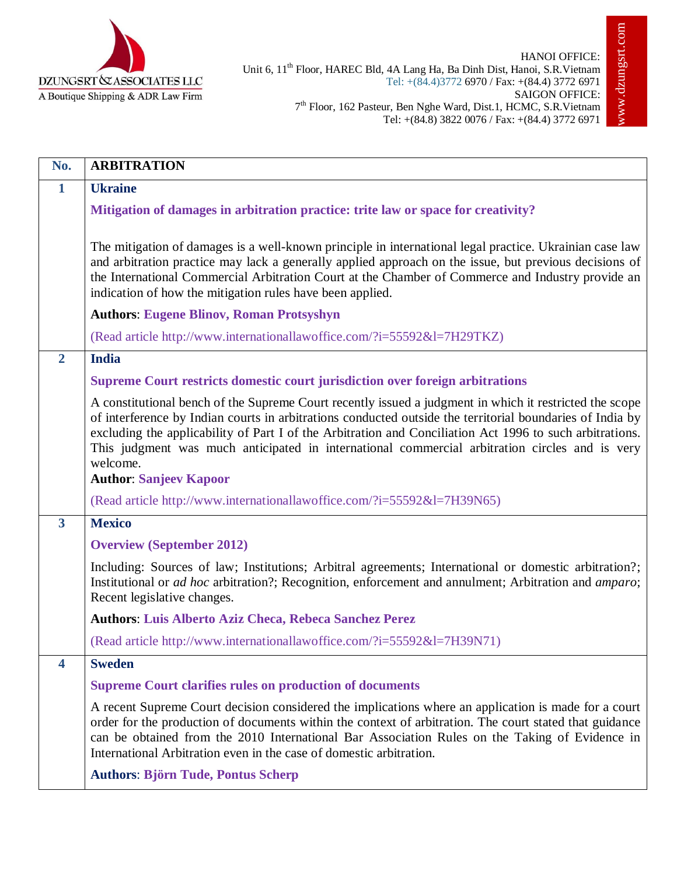

| No.            | <b>ARBITRATION</b>                                                                                                                                                                                                                                                                                                                                                                                                                                                              |
|----------------|---------------------------------------------------------------------------------------------------------------------------------------------------------------------------------------------------------------------------------------------------------------------------------------------------------------------------------------------------------------------------------------------------------------------------------------------------------------------------------|
| $\mathbf{1}$   | <b>Ukraine</b>                                                                                                                                                                                                                                                                                                                                                                                                                                                                  |
|                | Mitigation of damages in arbitration practice: trite law or space for creativity?                                                                                                                                                                                                                                                                                                                                                                                               |
|                | The mitigation of damages is a well-known principle in international legal practice. Ukrainian case law<br>and arbitration practice may lack a generally applied approach on the issue, but previous decisions of<br>the International Commercial Arbitration Court at the Chamber of Commerce and Industry provide an<br>indication of how the mitigation rules have been applied.                                                                                             |
|                | <b>Authors: Eugene Blinov, Roman Protsyshyn</b>                                                                                                                                                                                                                                                                                                                                                                                                                                 |
|                | (Read article http://www.internationallawoffice.com/?i=55592&l=7H29TKZ)                                                                                                                                                                                                                                                                                                                                                                                                         |
| $\overline{2}$ | <b>India</b>                                                                                                                                                                                                                                                                                                                                                                                                                                                                    |
|                | Supreme Court restricts domestic court jurisdiction over foreign arbitrations                                                                                                                                                                                                                                                                                                                                                                                                   |
|                | A constitutional bench of the Supreme Court recently issued a judgment in which it restricted the scope<br>of interference by Indian courts in arbitrations conducted outside the territorial boundaries of India by<br>excluding the applicability of Part I of the Arbitration and Conciliation Act 1996 to such arbitrations.<br>This judgment was much anticipated in international commercial arbitration circles and is very<br>welcome.<br><b>Author: Sanjeev Kapoor</b> |
|                | (Read article http://www.internationallawoffice.com/?i=55592&l=7H39N65)                                                                                                                                                                                                                                                                                                                                                                                                         |
| $\mathbf{3}$   | <b>Mexico</b>                                                                                                                                                                                                                                                                                                                                                                                                                                                                   |
|                | <b>Overview (September 2012)</b>                                                                                                                                                                                                                                                                                                                                                                                                                                                |
|                | Including: Sources of law; Institutions; Arbitral agreements; International or domestic arbitration?;<br>Institutional or <i>ad hoc</i> arbitration?; Recognition, enforcement and annulment; Arbitration and <i>amparo</i> ;<br>Recent legislative changes.                                                                                                                                                                                                                    |
|                | <b>Authors: Luis Alberto Aziz Checa, Rebeca Sanchez Perez</b>                                                                                                                                                                                                                                                                                                                                                                                                                   |
|                | (Read article http://www.internationallawoffice.com/?i=55592&l=7H39N71)                                                                                                                                                                                                                                                                                                                                                                                                         |
| 4              | <b>Sweden</b>                                                                                                                                                                                                                                                                                                                                                                                                                                                                   |
|                | <b>Supreme Court clarifies rules on production of documents</b>                                                                                                                                                                                                                                                                                                                                                                                                                 |
|                | A recent Supreme Court decision considered the implications where an application is made for a court<br>order for the production of documents within the context of arbitration. The court stated that guidance<br>can be obtained from the 2010 International Bar Association Rules on the Taking of Evidence in<br>International Arbitration even in the case of domestic arbitration.                                                                                        |
|                | <b>Authors: Björn Tude, Pontus Scherp</b>                                                                                                                                                                                                                                                                                                                                                                                                                                       |